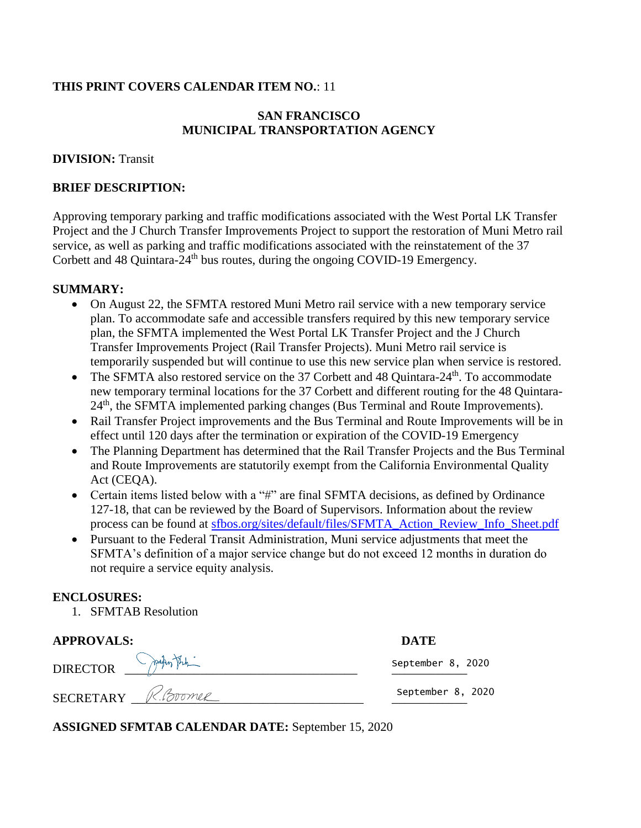## **THIS PRINT COVERS CALENDAR ITEM NO.**: 11

## **SAN FRANCISCO MUNICIPAL TRANSPORTATION AGENCY**

### **DIVISION:** Transit

#### **BRIEF DESCRIPTION:**

Approving temporary parking and traffic modifications associated with the West Portal LK Transfer Project and the J Church Transfer Improvements Project to support the restoration of Muni Metro rail service, as well as parking and traffic modifications associated with the reinstatement of the 37 Corbett and 48 Quintara- $24<sup>th</sup>$  bus routes, during the ongoing COVID-19 Emergency.

#### **SUMMARY:**

- On August 22, the SFMTA restored Muni Metro rail service with a new temporary service plan. To accommodate safe and accessible transfers required by this new temporary service plan, the SFMTA implemented the West Portal LK Transfer Project and the J Church Transfer Improvements Project (Rail Transfer Projects). Muni Metro rail service is temporarily suspended but will continue to use this new service plan when service is restored.
- The SFMTA also restored service on the 37 Corbett and 48 Quintara- $24<sup>th</sup>$ . To accommodate new temporary terminal locations for the 37 Corbett and different routing for the 48 Quintara-24<sup>th</sup>, the SFMTA implemented parking changes (Bus Terminal and Route Improvements).
- Rail Transfer Project improvements and the Bus Terminal and Route Improvements will be in effect until 120 days after the termination or expiration of the COVID-19 Emergency
- The Planning Department has determined that the Rail Transfer Projects and the Bus Terminal and Route Improvements are statutorily exempt from the California Environmental Quality Act (CEOA).
- Certain items listed below with a "#" are final SFMTA decisions, as defined by Ordinance 127-18, that can be reviewed by the Board of Supervisors. Information about the review process can be found at [sfbos.org/sites/default/files/SFMTA\\_Action\\_Review\\_Info\\_Sheet.pdf](https://board.sfmta.com/calendar/Lists/PM%20Calendar%20Item%20Process/Attachments/858/sfbos.org/sites/default/files/SFMTA_Action_Review_Info_Sheet.pdf)
- Pursuant to the Federal Transit Administration, Muni service adjustments that meet the SFMTA's definition of a major service change but do not exceed 12 months in duration do not require a service equity analysis.

## **ENCLOSURES:**

1. SFMTAB Resolution

| <b>APPROVALS:</b>  | <b>DATE</b>       |  |
|--------------------|-------------------|--|
| DIRECTOR PARATEL   | September 8, 2020 |  |
| SECRETARY R.Boomer | September 8, 2020 |  |

**ASSIGNED SFMTAB CALENDAR DATE:** September 15, 2020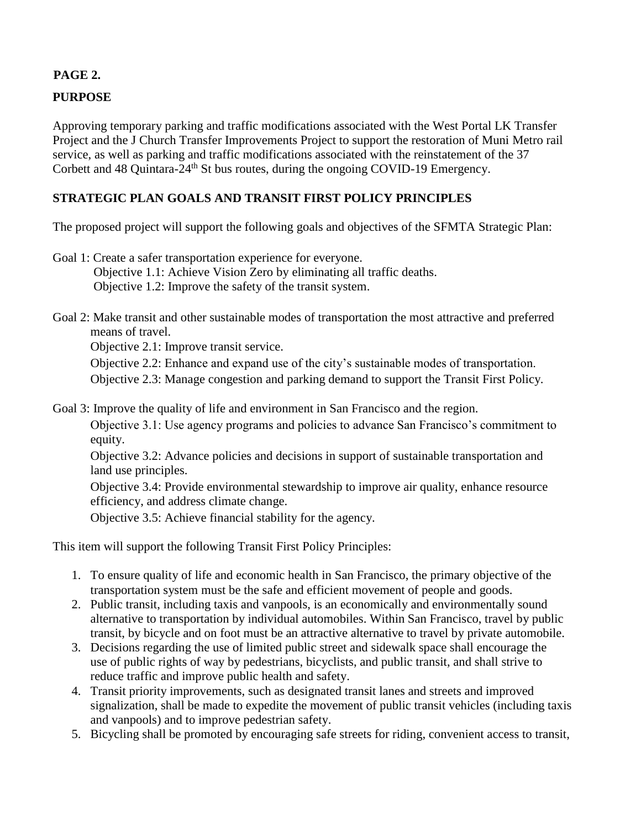# **PAGE 2.**

# **PURPOSE**

Approving temporary parking and traffic modifications associated with the West Portal LK Transfer Project and the J Church Transfer Improvements Project to support the restoration of Muni Metro rail service, as well as parking and traffic modifications associated with the reinstatement of the 37 Corbett and 48 Quintara-24<sup>th</sup> St bus routes, during the ongoing COVID-19 Emergency.

# **STRATEGIC PLAN GOALS AND TRANSIT FIRST POLICY PRINCIPLES**

The proposed project will support the following goals and objectives of the SFMTA Strategic Plan:

Goal 1: Create a safer transportation experience for everyone. Objective 1.1: Achieve Vision Zero by eliminating all traffic deaths. Objective 1.2: Improve the safety of the transit system.

Goal 2: Make transit and other sustainable modes of transportation the most attractive and preferred means of travel.

Objective 2.1: Improve transit service.

Objective 2.2: Enhance and expand use of the city's sustainable modes of transportation.

Objective 2.3: Manage congestion and parking demand to support the Transit First Policy.

Goal 3: Improve the quality of life and environment in San Francisco and the region.

Objective 3.1: Use agency programs and policies to advance San Francisco's commitment to equity.

Objective 3.2: Advance policies and decisions in support of sustainable transportation and land use principles.

Objective 3.4: Provide environmental stewardship to improve air quality, enhance resource efficiency, and address climate change.

Objective 3.5: Achieve financial stability for the agency.

This item will support the following Transit First Policy Principles:

- 1. To ensure quality of life and economic health in San Francisco, the primary objective of the transportation system must be the safe and efficient movement of people and goods.
- 2. Public transit, including taxis and vanpools, is an economically and environmentally sound alternative to transportation by individual automobiles. Within San Francisco, travel by public transit, by bicycle and on foot must be an attractive alternative to travel by private automobile.
- 3. Decisions regarding the use of limited public street and sidewalk space shall encourage the use of public rights of way by pedestrians, bicyclists, and public transit, and shall strive to reduce traffic and improve public health and safety.
- 4. Transit priority improvements, such as designated transit lanes and streets and improved signalization, shall be made to expedite the movement of public transit vehicles (including taxis and vanpools) and to improve pedestrian safety.
- 5. Bicycling shall be promoted by encouraging safe streets for riding, convenient access to transit,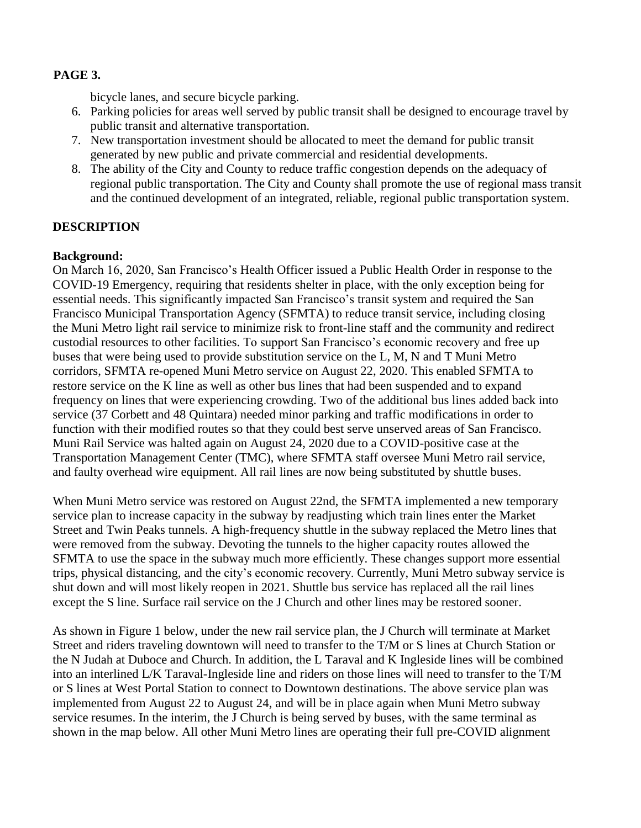## **PAGE 3.**

bicycle lanes, and secure bicycle parking.

- 6. Parking policies for areas well served by public transit shall be designed to encourage travel by public transit and alternative transportation.
- 7. New transportation investment should be allocated to meet the demand for public transit generated by new public and private commercial and residential developments.
- 8. The ability of the City and County to reduce traffic congestion depends on the adequacy of regional public transportation. The City and County shall promote the use of regional mass transit and the continued development of an integrated, reliable, regional public transportation system.

## **DESCRIPTION**

## **Background:**

On March 16, 2020, San Francisco's Health Officer issued a Public Health Order in response to the COVID-19 Emergency, requiring that residents shelter in place, with the only exception being for essential needs. This significantly impacted San Francisco's transit system and required the San Francisco Municipal Transportation Agency (SFMTA) to reduce transit service, including closing the Muni Metro light rail service to minimize risk to front-line staff and the community and redirect custodial resources to other facilities. To support San Francisco's economic recovery and free up buses that were being used to provide substitution service on the L, M, N and T Muni Metro corridors, SFMTA re-opened Muni Metro service on August 22, 2020. This enabled SFMTA to restore service on the K line as well as other bus lines that had been suspended and to expand frequency on lines that were experiencing crowding. Two of the additional bus lines added back into service (37 Corbett and 48 Quintara) needed minor parking and traffic modifications in order to function with their modified routes so that they could best serve unserved areas of San Francisco. Muni Rail Service was halted again on August 24, 2020 due to a COVID-positive case at the Transportation Management Center (TMC), where SFMTA staff oversee Muni Metro rail service, and faulty overhead wire equipment. All rail lines are now being substituted by shuttle buses.

When Muni Metro service was restored on August 22nd, the SFMTA implemented a new temporary service plan to increase capacity in the subway by readjusting which train lines enter the Market Street and Twin Peaks tunnels. A high-frequency shuttle in the subway replaced the Metro lines that were removed from the subway. Devoting the tunnels to the higher capacity routes allowed the SFMTA to use the space in the subway much more efficiently. These changes support more essential trips, physical distancing, and the city's economic recovery. Currently, Muni Metro subway service is shut down and will most likely reopen in 2021. Shuttle bus service has replaced all the rail lines except the S line. Surface rail service on the J Church and other lines may be restored sooner.

As shown in Figure 1 below, under the new rail service plan, the J Church will terminate at Market Street and riders traveling downtown will need to transfer to the T/M or S lines at Church Station or the N Judah at Duboce and Church. In addition, the L Taraval and K Ingleside lines will be combined into an interlined L/K Taraval-Ingleside line and riders on those lines will need to transfer to the T/M or S lines at West Portal Station to connect to Downtown destinations. The above service plan was implemented from August 22 to August 24, and will be in place again when Muni Metro subway service resumes. In the interim, the J Church is being served by buses, with the same terminal as shown in the map below. All other Muni Metro lines are operating their full pre-COVID alignment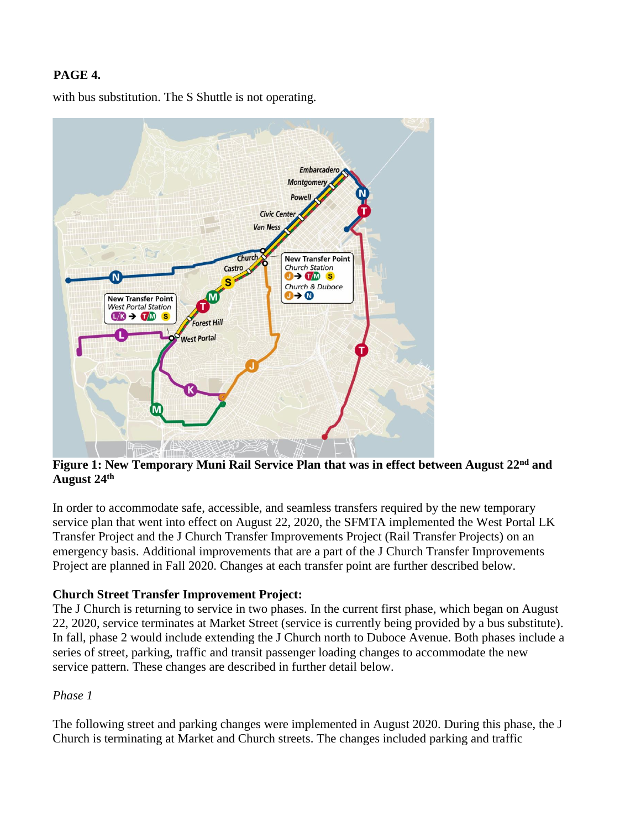# **PAGE 4.**

with bus substitution. The S Shuttle is not operating.



**Figure 1: New Temporary Muni Rail Service Plan that was in effect between August 22nd and August 24th**

In order to accommodate safe, accessible, and seamless transfers required by the new temporary service plan that went into effect on August 22, 2020, the SFMTA implemented the West Portal LK Transfer Project and the J Church Transfer Improvements Project (Rail Transfer Projects) on an emergency basis. Additional improvements that are a part of the J Church Transfer Improvements Project are planned in Fall 2020. Changes at each transfer point are further described below.

## **Church Street Transfer Improvement Project:**

The J Church is returning to service in two phases. In the current first phase, which began on August 22, 2020, service terminates at Market Street (service is currently being provided by a bus substitute). In fall, phase 2 would include extending the J Church north to Duboce Avenue. Both phases include a series of street, parking, traffic and transit passenger loading changes to accommodate the new service pattern. These changes are described in further detail below.

#### *Phase 1*

The following street and parking changes were implemented in August 2020. During this phase, the J Church is terminating at Market and Church streets. The changes included parking and traffic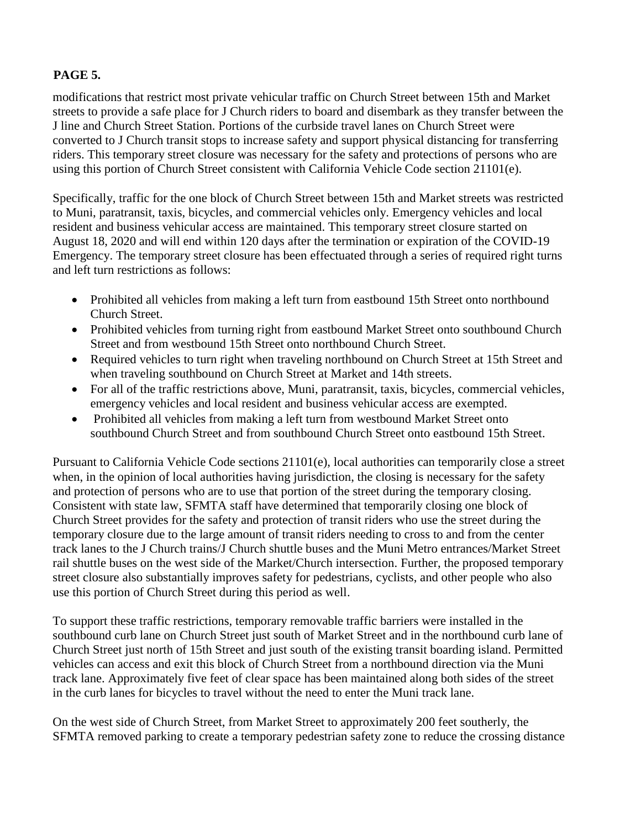# **PAGE 5.**

modifications that restrict most private vehicular traffic on Church Street between 15th and Market streets to provide a safe place for J Church riders to board and disembark as they transfer between the J line and Church Street Station. Portions of the curbside travel lanes on Church Street were converted to J Church transit stops to increase safety and support physical distancing for transferring riders. This temporary street closure was necessary for the safety and protections of persons who are using this portion of Church Street consistent with California Vehicle Code section 21101(e).

Specifically, traffic for the one block of Church Street between 15th and Market streets was restricted to Muni, paratransit, taxis, bicycles, and commercial vehicles only. Emergency vehicles and local resident and business vehicular access are maintained. This temporary street closure started on August 18, 2020 and will end within 120 days after the termination or expiration of the COVID-19 Emergency. The temporary street closure has been effectuated through a series of required right turns and left turn restrictions as follows:

- Prohibited all vehicles from making a left turn from eastbound 15th Street onto northbound Church Street.
- Prohibited vehicles from turning right from eastbound Market Street onto southbound Church Street and from westbound 15th Street onto northbound Church Street.
- Required vehicles to turn right when traveling northbound on Church Street at 15th Street and when traveling southbound on Church Street at Market and 14th streets.
- For all of the traffic restrictions above, Muni, paratransit, taxis, bicycles, commercial vehicles, emergency vehicles and local resident and business vehicular access are exempted.
- Prohibited all vehicles from making a left turn from westbound Market Street onto southbound Church Street and from southbound Church Street onto eastbound 15th Street.

Pursuant to California Vehicle Code sections 21101(e), local authorities can temporarily close a street when, in the opinion of local authorities having jurisdiction, the closing is necessary for the safety and protection of persons who are to use that portion of the street during the temporary closing. Consistent with state law, SFMTA staff have determined that temporarily closing one block of Church Street provides for the safety and protection of transit riders who use the street during the temporary closure due to the large amount of transit riders needing to cross to and from the center track lanes to the J Church trains/J Church shuttle buses and the Muni Metro entrances/Market Street rail shuttle buses on the west side of the Market/Church intersection. Further, the proposed temporary street closure also substantially improves safety for pedestrians, cyclists, and other people who also use this portion of Church Street during this period as well.

To support these traffic restrictions, temporary removable traffic barriers were installed in the southbound curb lane on Church Street just south of Market Street and in the northbound curb lane of Church Street just north of 15th Street and just south of the existing transit boarding island. Permitted vehicles can access and exit this block of Church Street from a northbound direction via the Muni track lane. Approximately five feet of clear space has been maintained along both sides of the street in the curb lanes for bicycles to travel without the need to enter the Muni track lane.

On the west side of Church Street, from Market Street to approximately 200 feet southerly, the SFMTA removed parking to create a temporary pedestrian safety zone to reduce the crossing distance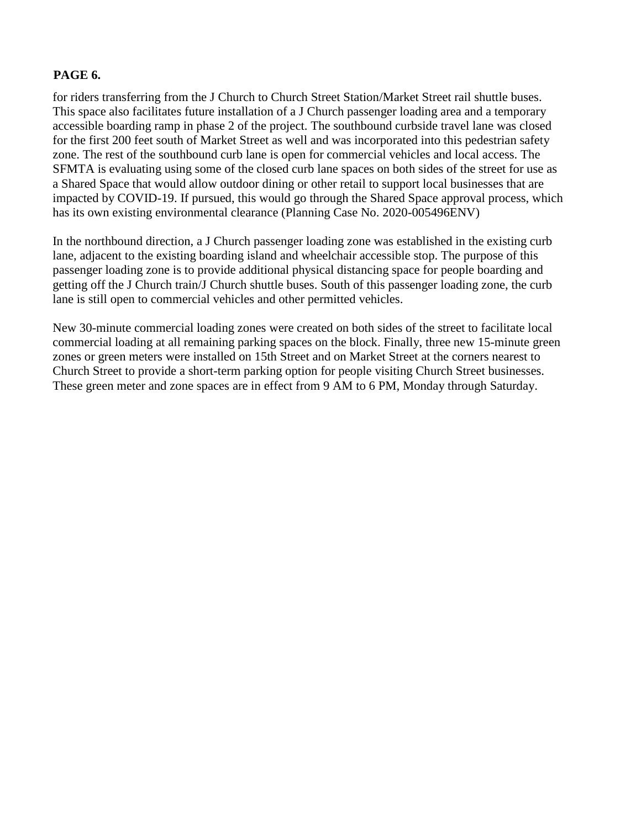### **PAGE 6.**

for riders transferring from the J Church to Church Street Station/Market Street rail shuttle buses. This space also facilitates future installation of a J Church passenger loading area and a temporary accessible boarding ramp in phase 2 of the project. The southbound curbside travel lane was closed for the first 200 feet south of Market Street as well and was incorporated into this pedestrian safety zone. The rest of the southbound curb lane is open for commercial vehicles and local access. The SFMTA is evaluating using some of the closed curb lane spaces on both sides of the street for use as a Shared Space that would allow outdoor dining or other retail to support local businesses that are impacted by COVID-19. If pursued, this would go through the Shared Space approval process, which has its own existing environmental clearance (Planning Case No. 2020-005496ENV)

In the northbound direction, a J Church passenger loading zone was established in the existing curb lane, adjacent to the existing boarding island and wheelchair accessible stop. The purpose of this passenger loading zone is to provide additional physical distancing space for people boarding and getting off the J Church train/J Church shuttle buses. South of this passenger loading zone, the curb lane is still open to commercial vehicles and other permitted vehicles.

New 30-minute commercial loading zones were created on both sides of the street to facilitate local commercial loading at all remaining parking spaces on the block. Finally, three new 15-minute green zones or green meters were installed on 15th Street and on Market Street at the corners nearest to Church Street to provide a short-term parking option for people visiting Church Street businesses. These green meter and zone spaces are in effect from 9 AM to 6 PM, Monday through Saturday.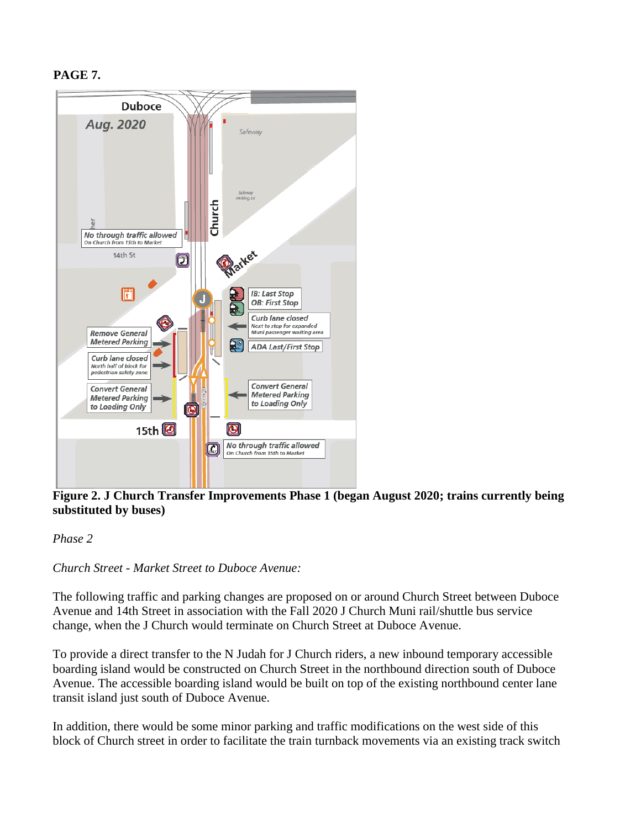# **PAGE 7.**

![](_page_6_Figure_1.jpeg)

**Figure 2. J Church Transfer Improvements Phase 1 (began August 2020; trains currently being substituted by buses)**

#### *Phase 2*

## *Church Street - Market Street to Duboce Avenue:*

The following traffic and parking changes are proposed on or around Church Street between Duboce Avenue and 14th Street in association with the Fall 2020 J Church Muni rail/shuttle bus service change, when the J Church would terminate on Church Street at Duboce Avenue.

To provide a direct transfer to the N Judah for J Church riders, a new inbound temporary accessible boarding island would be constructed on Church Street in the northbound direction south of Duboce Avenue. The accessible boarding island would be built on top of the existing northbound center lane transit island just south of Duboce Avenue.

In addition, there would be some minor parking and traffic modifications on the west side of this block of Church street in order to facilitate the train turnback movements via an existing track switch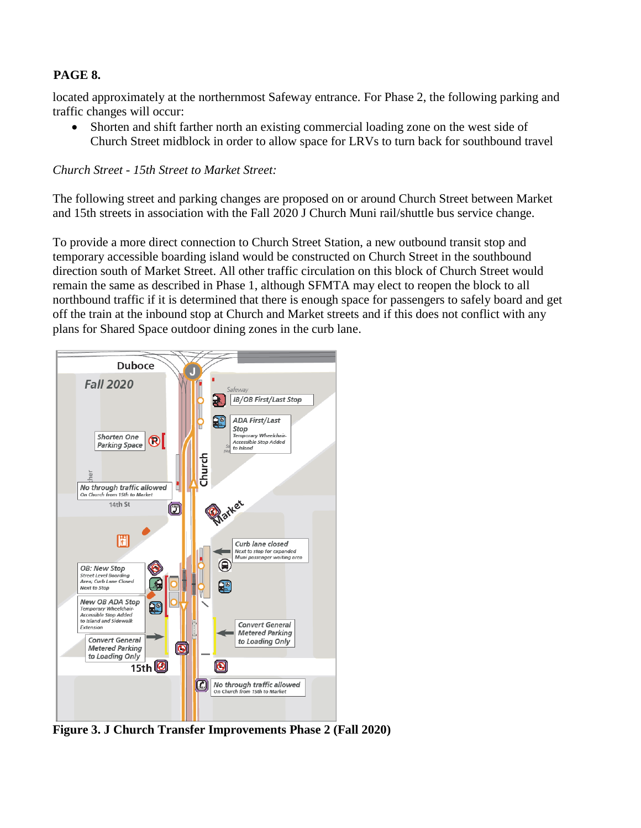# **PAGE 8.**

located approximately at the northernmost Safeway entrance. For Phase 2, the following parking and traffic changes will occur:

 Shorten and shift farther north an existing commercial loading zone on the west side of Church Street midblock in order to allow space for LRVs to turn back for southbound travel

*Church Street - 15th Street to Market Street:*

The following street and parking changes are proposed on or around Church Street between Market and 15th streets in association with the Fall 2020 J Church Muni rail/shuttle bus service change.

To provide a more direct connection to Church Street Station, a new outbound transit stop and temporary accessible boarding island would be constructed on Church Street in the southbound direction south of Market Street. All other traffic circulation on this block of Church Street would remain the same as described in Phase 1, although SFMTA may elect to reopen the block to all northbound traffic if it is determined that there is enough space for passengers to safely board and get off the train at the inbound stop at Church and Market streets and if this does not conflict with any plans for Shared Space outdoor dining zones in the curb lane.

![](_page_7_Figure_6.jpeg)

**Figure 3. J Church Transfer Improvements Phase 2 (Fall 2020)**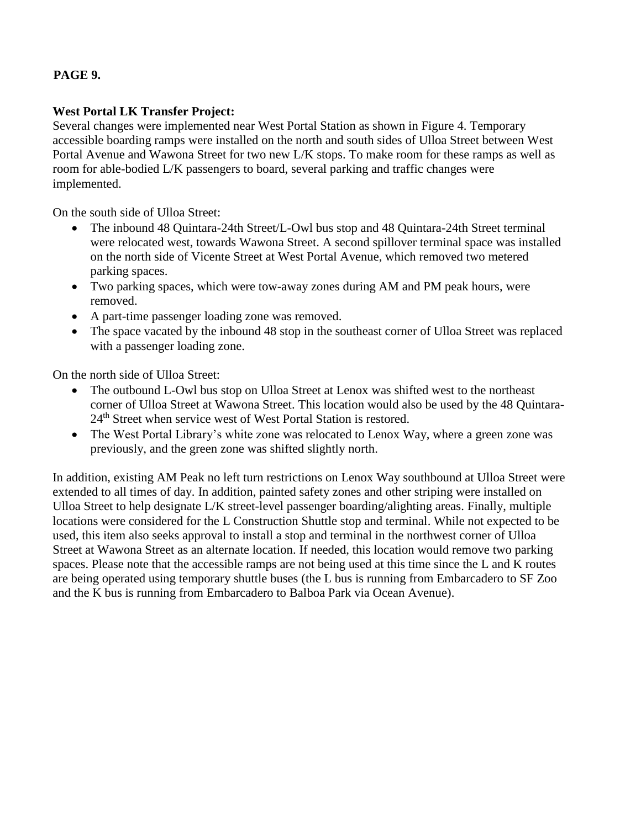# **PAGE 9.**

### **West Portal LK Transfer Project:**

Several changes were implemented near West Portal Station as shown in Figure 4. Temporary accessible boarding ramps were installed on the north and south sides of Ulloa Street between West Portal Avenue and Wawona Street for two new L/K stops. To make room for these ramps as well as room for able-bodied L/K passengers to board, several parking and traffic changes were implemented.

On the south side of Ulloa Street:

- The inbound 48 Quintara-24th Street/L-Owl bus stop and 48 Quintara-24th Street terminal were relocated west, towards Wawona Street. A second spillover terminal space was installed on the north side of Vicente Street at West Portal Avenue, which removed two metered parking spaces.
- Two parking spaces, which were tow-away zones during AM and PM peak hours, were removed.
- A part-time passenger loading zone was removed.
- The space vacated by the inbound 48 stop in the southeast corner of Ulloa Street was replaced with a passenger loading zone.

On the north side of Ulloa Street:

- The outbound L-Owl bus stop on Ulloa Street at Lenox was shifted west to the northeast corner of Ulloa Street at Wawona Street. This location would also be used by the 48 Quintara-24th Street when service west of West Portal Station is restored.
- The West Portal Library's white zone was relocated to Lenox Way, where a green zone was previously, and the green zone was shifted slightly north.

In addition, existing AM Peak no left turn restrictions on Lenox Way southbound at Ulloa Street were extended to all times of day. In addition, painted safety zones and other striping were installed on Ulloa Street to help designate L/K street-level passenger boarding/alighting areas. Finally, multiple locations were considered for the L Construction Shuttle stop and terminal. While not expected to be used, this item also seeks approval to install a stop and terminal in the northwest corner of Ulloa Street at Wawona Street as an alternate location. If needed, this location would remove two parking spaces. Please note that the accessible ramps are not being used at this time since the L and K routes are being operated using temporary shuttle buses (the L bus is running from Embarcadero to SF Zoo and the K bus is running from Embarcadero to Balboa Park via Ocean Avenue).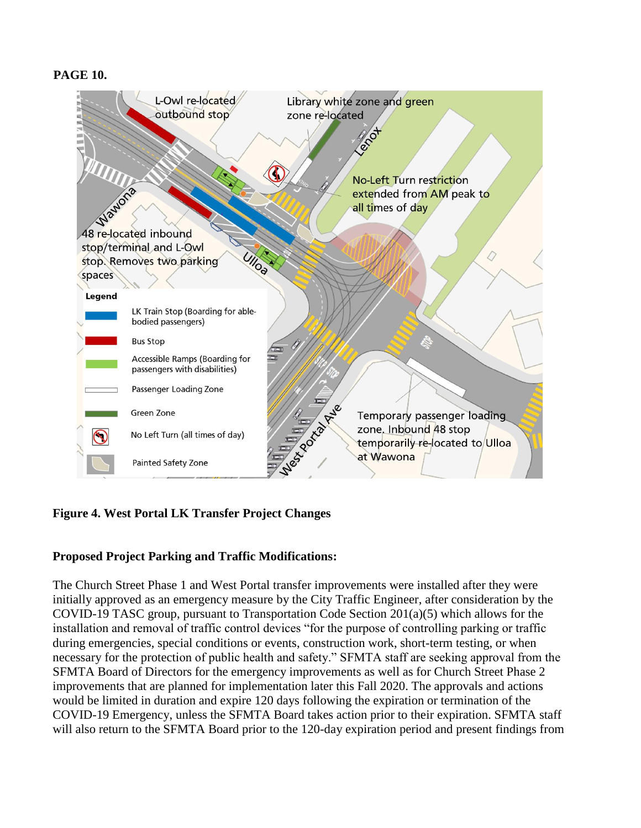### **PAGE 10.**

![](_page_9_Figure_1.jpeg)

## **Figure 4. West Portal LK Transfer Project Changes**

#### **Proposed Project Parking and Traffic Modifications:**

The Church Street Phase 1 and West Portal transfer improvements were installed after they were initially approved as an emergency measure by the City Traffic Engineer, after consideration by the COVID-19 TASC group, pursuant to Transportation Code Section 201(a)(5) which allows for the installation and removal of traffic control devices "for the purpose of controlling parking or traffic during emergencies, special conditions or events, construction work, short-term testing, or when necessary for the protection of public health and safety." SFMTA staff are seeking approval from the SFMTA Board of Directors for the emergency improvements as well as for Church Street Phase 2 improvements that are planned for implementation later this Fall 2020. The approvals and actions would be limited in duration and expire 120 days following the expiration or termination of the COVID-19 Emergency, unless the SFMTA Board takes action prior to their expiration. SFMTA staff will also return to the SFMTA Board prior to the 120-day expiration period and present findings from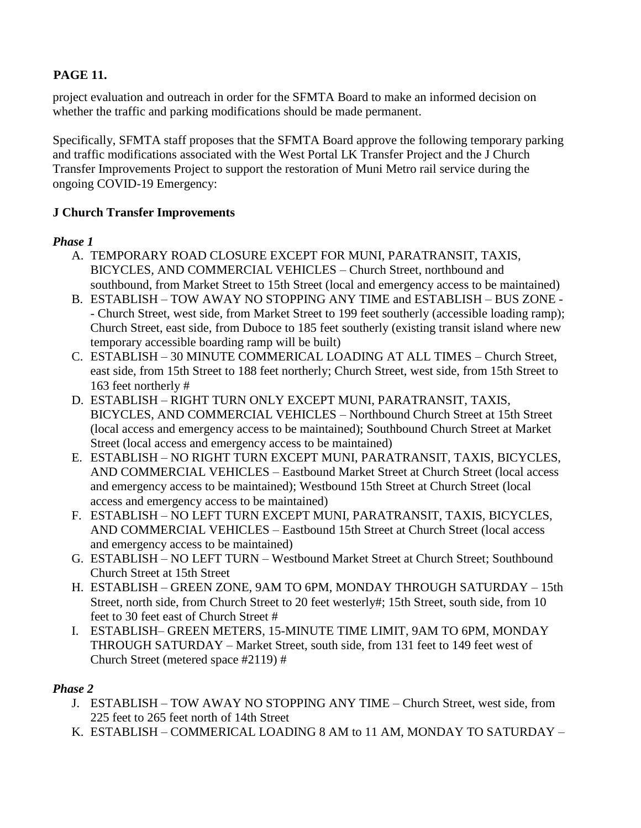# **PAGE 11.**

project evaluation and outreach in order for the SFMTA Board to make an informed decision on whether the traffic and parking modifications should be made permanent.

Specifically, SFMTA staff proposes that the SFMTA Board approve the following temporary parking and traffic modifications associated with the West Portal LK Transfer Project and the J Church Transfer Improvements Project to support the restoration of Muni Metro rail service during the ongoing COVID-19 Emergency:

## **J Church Transfer Improvements**

## *Phase 1*

- A. TEMPORARY ROAD CLOSURE EXCEPT FOR MUNI, PARATRANSIT, TAXIS, BICYCLES, AND COMMERCIAL VEHICLES – Church Street, northbound and southbound, from Market Street to 15th Street (local and emergency access to be maintained)
- B. ESTABLISH TOW AWAY NO STOPPING ANY TIME and ESTABLISH BUS ZONE - Church Street, west side, from Market Street to 199 feet southerly (accessible loading ramp); Church Street, east side, from Duboce to 185 feet southerly (existing transit island where new temporary accessible boarding ramp will be built)
- C. ESTABLISH 30 MINUTE COMMERICAL LOADING AT ALL TIMES Church Street, east side, from 15th Street to 188 feet northerly; Church Street, west side, from 15th Street to 163 feet northerly #
- D. ESTABLISH RIGHT TURN ONLY EXCEPT MUNI, PARATRANSIT, TAXIS, BICYCLES, AND COMMERCIAL VEHICLES – Northbound Church Street at 15th Street (local access and emergency access to be maintained); Southbound Church Street at Market Street (local access and emergency access to be maintained)
- E. ESTABLISH NO RIGHT TURN EXCEPT MUNI, PARATRANSIT, TAXIS, BICYCLES, AND COMMERCIAL VEHICLES – Eastbound Market Street at Church Street (local access and emergency access to be maintained); Westbound 15th Street at Church Street (local access and emergency access to be maintained)
- F. ESTABLISH NO LEFT TURN EXCEPT MUNI, PARATRANSIT, TAXIS, BICYCLES, AND COMMERCIAL VEHICLES – Eastbound 15th Street at Church Street (local access and emergency access to be maintained)
- G. ESTABLISH NO LEFT TURN Westbound Market Street at Church Street; Southbound Church Street at 15th Street
- H. ESTABLISH GREEN ZONE, 9AM TO 6PM, MONDAY THROUGH SATURDAY 15th Street, north side, from Church Street to 20 feet westerly#; 15th Street, south side, from 10 feet to 30 feet east of Church Street #
- I. ESTABLISH– GREEN METERS, 15-MINUTE TIME LIMIT, 9AM TO 6PM, MONDAY THROUGH SATURDAY – Market Street, south side, from 131 feet to 149 feet west of Church Street (metered space #2119) #

## *Phase 2*

- J. ESTABLISH TOW AWAY NO STOPPING ANY TIME Church Street, west side, from 225 feet to 265 feet north of 14th Street
- K. ESTABLISH COMMERICAL LOADING 8 AM to 11 AM, MONDAY TO SATURDAY –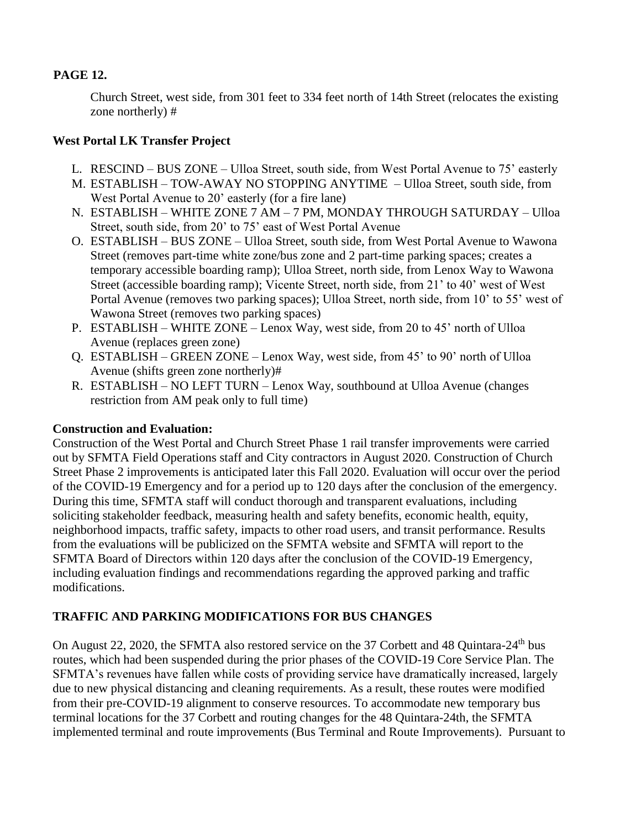## **PAGE 12.**

Church Street, west side, from 301 feet to 334 feet north of 14th Street (relocates the existing zone northerly) #

## **West Portal LK Transfer Project**

- L. RESCIND BUS ZONE Ulloa Street, south side, from West Portal Avenue to 75' easterly
- M. ESTABLISH TOW-AWAY NO STOPPING ANYTIME Ulloa Street, south side, from West Portal Avenue to 20' easterly (for a fire lane)
- N. ESTABLISH WHITE ZONE 7 AM 7 PM, MONDAY THROUGH SATURDAY Ulloa Street, south side, from 20' to 75' east of West Portal Avenue
- O. ESTABLISH BUS ZONE Ulloa Street, south side, from West Portal Avenue to Wawona Street (removes part-time white zone/bus zone and 2 part-time parking spaces; creates a temporary accessible boarding ramp); Ulloa Street, north side, from Lenox Way to Wawona Street (accessible boarding ramp); Vicente Street, north side, from 21' to 40' west of West Portal Avenue (removes two parking spaces); Ulloa Street, north side, from 10' to 55' west of Wawona Street (removes two parking spaces)
- P. ESTABLISH WHITE ZONE Lenox Way, west side, from 20 to 45' north of Ulloa Avenue (replaces green zone)
- Q. ESTABLISH GREEN ZONE Lenox Way, west side, from 45' to 90' north of Ulloa Avenue (shifts green zone northerly)#
- R. ESTABLISH NO LEFT TURN Lenox Way, southbound at Ulloa Avenue (changes restriction from AM peak only to full time)

## **Construction and Evaluation:**

Construction of the West Portal and Church Street Phase 1 rail transfer improvements were carried out by SFMTA Field Operations staff and City contractors in August 2020. Construction of Church Street Phase 2 improvements is anticipated later this Fall 2020. Evaluation will occur over the period of the COVID-19 Emergency and for a period up to 120 days after the conclusion of the emergency. During this time, SFMTA staff will conduct thorough and transparent evaluations, including soliciting stakeholder feedback, measuring health and safety benefits, economic health, equity, neighborhood impacts, traffic safety, impacts to other road users, and transit performance. Results from the evaluations will be publicized on the SFMTA website and SFMTA will report to the SFMTA Board of Directors within 120 days after the conclusion of the COVID-19 Emergency, including evaluation findings and recommendations regarding the approved parking and traffic modifications.

# **TRAFFIC AND PARKING MODIFICATIONS FOR BUS CHANGES**

On August 22, 2020, the SFMTA also restored service on the 37 Corbett and 48 Quintara-24<sup>th</sup> bus routes, which had been suspended during the prior phases of the COVID-19 Core Service Plan. The SFMTA's revenues have fallen while costs of providing service have dramatically increased, largely due to new physical distancing and cleaning requirements. As a result, these routes were modified from their pre-COVID-19 alignment to conserve resources. To accommodate new temporary bus terminal locations for the 37 Corbett and routing changes for the 48 Quintara-24th, the SFMTA implemented terminal and route improvements (Bus Terminal and Route Improvements). Pursuant to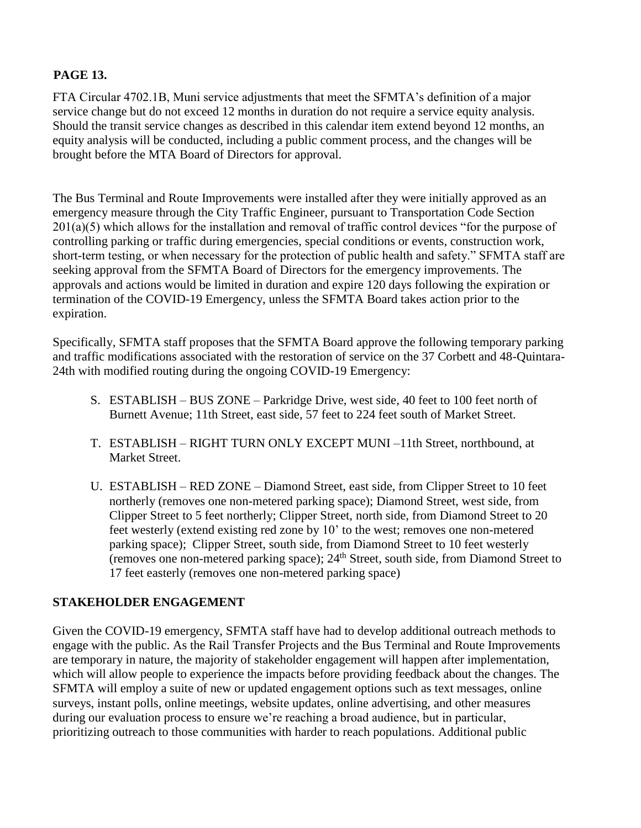## **PAGE 13.**

FTA Circular 4702.1B, Muni service adjustments that meet the SFMTA's definition of a major service change but do not exceed 12 months in duration do not require a service equity analysis. Should the transit service changes as described in this calendar item extend beyond 12 months, an equity analysis will be conducted, including a public comment process, and the changes will be brought before the MTA Board of Directors for approval.

The Bus Terminal and Route Improvements were installed after they were initially approved as an emergency measure through the City Traffic Engineer, pursuant to Transportation Code Section 201(a)(5) which allows for the installation and removal of traffic control devices "for the purpose of controlling parking or traffic during emergencies, special conditions or events, construction work, short-term testing, or when necessary for the protection of public health and safety." SFMTA staff are seeking approval from the SFMTA Board of Directors for the emergency improvements. The approvals and actions would be limited in duration and expire 120 days following the expiration or termination of the COVID-19 Emergency, unless the SFMTA Board takes action prior to the expiration.

Specifically, SFMTA staff proposes that the SFMTA Board approve the following temporary parking and traffic modifications associated with the restoration of service on the 37 Corbett and 48-Quintara-24th with modified routing during the ongoing COVID-19 Emergency:

- S. ESTABLISH BUS ZONE Parkridge Drive, west side, 40 feet to 100 feet north of Burnett Avenue; 11th Street, east side, 57 feet to 224 feet south of Market Street.
- T. ESTABLISH RIGHT TURN ONLY EXCEPT MUNI –11th Street, northbound, at Market Street.
- U. ESTABLISH RED ZONE Diamond Street, east side, from Clipper Street to 10 feet northerly (removes one non-metered parking space); Diamond Street, west side, from Clipper Street to 5 feet northerly; Clipper Street, north side, from Diamond Street to 20 feet westerly (extend existing red zone by 10' to the west; removes one non-metered parking space); Clipper Street, south side, from Diamond Street to 10 feet westerly  $($ removes one non-metered parking space);  $24<sup>th</sup>$  Street, south side, from Diamond Street to 17 feet easterly (removes one non-metered parking space)

## **STAKEHOLDER ENGAGEMENT**

Given the COVID-19 emergency, SFMTA staff have had to develop additional outreach methods to engage with the public. As the Rail Transfer Projects and the Bus Terminal and Route Improvements are temporary in nature, the majority of stakeholder engagement will happen after implementation, which will allow people to experience the impacts before providing feedback about the changes. The SFMTA will employ a suite of new or updated engagement options such as text messages, online surveys, instant polls, online meetings, website updates, online advertising, and other measures during our evaluation process to ensure we're reaching a broad audience, but in particular, prioritizing outreach to those communities with harder to reach populations. Additional public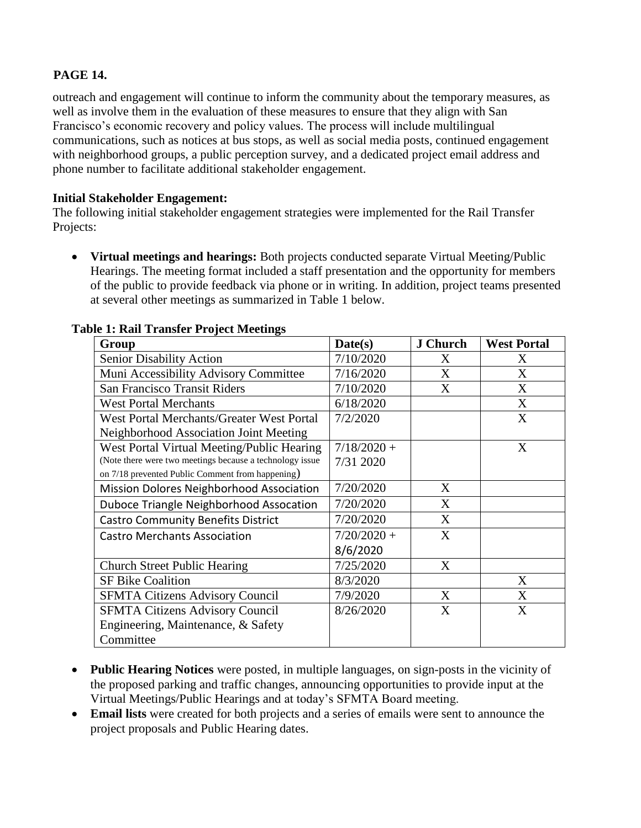## **PAGE 14.**

outreach and engagement will continue to inform the community about the temporary measures, as well as involve them in the evaluation of these measures to ensure that they align with San Francisco's economic recovery and policy values. The process will include multilingual communications, such as notices at bus stops, as well as social media posts, continued engagement with neighborhood groups, a public perception survey, and a dedicated project email address and phone number to facilitate additional stakeholder engagement.

#### **Initial Stakeholder Engagement:**

The following initial stakeholder engagement strategies were implemented for the Rail Transfer Projects:

 **Virtual meetings and hearings:** Both projects conducted separate Virtual Meeting/Public Hearings. The meeting format included a staff presentation and the opportunity for members of the public to provide feedback via phone or in writing. In addition, project teams presented at several other meetings as summarized in Table 1 below.

| Group                                                    | Date(s)       | <b>J</b> Church | <b>West Portal</b> |
|----------------------------------------------------------|---------------|-----------------|--------------------|
| <b>Senior Disability Action</b>                          | 7/10/2020     | X               | X                  |
| Muni Accessibility Advisory Committee                    | 7/16/2020     | X               | X                  |
| <b>San Francisco Transit Riders</b>                      | 7/10/2020     | $\mathbf{X}$    | X                  |
| <b>West Portal Merchants</b>                             | 6/18/2020     |                 | X                  |
| West Portal Merchants/Greater West Portal                | 7/2/2020      |                 | X                  |
| Neighborhood Association Joint Meeting                   |               |                 |                    |
| West Portal Virtual Meeting/Public Hearing               | $7/18/2020 +$ |                 | X                  |
| (Note there were two meetings because a technology issue | 7/31 2020     |                 |                    |
| on 7/18 prevented Public Comment from happening)         |               |                 |                    |
| Mission Dolores Neighborhood Association                 | 7/20/2020     | X               |                    |
| Duboce Triangle Neighborhood Assocation                  | 7/20/2020     | X               |                    |
| <b>Castro Community Benefits District</b>                | 7/20/2020     | X               |                    |
| <b>Castro Merchants Association</b>                      | $7/20/2020 +$ | X               |                    |
|                                                          | 8/6/2020      |                 |                    |
| <b>Church Street Public Hearing</b>                      | 7/25/2020     | X               |                    |
| <b>SF Bike Coalition</b>                                 | 8/3/2020      |                 | X                  |
| <b>SFMTA Citizens Advisory Council</b>                   | 7/9/2020      | X               | X                  |
| <b>SFMTA Citizens Advisory Council</b>                   | 8/26/2020     | X               | X                  |
| Engineering, Maintenance, & Safety                       |               |                 |                    |
| Committee                                                |               |                 |                    |

#### **Table 1: Rail Transfer Project Meetings**

- **Public Hearing Notices** were posted, in multiple languages, on sign-posts in the vicinity of the proposed parking and traffic changes, announcing opportunities to provide input at the Virtual Meetings/Public Hearings and at today's SFMTA Board meeting.
- **Email lists** were created for both projects and a series of emails were sent to announce the project proposals and Public Hearing dates.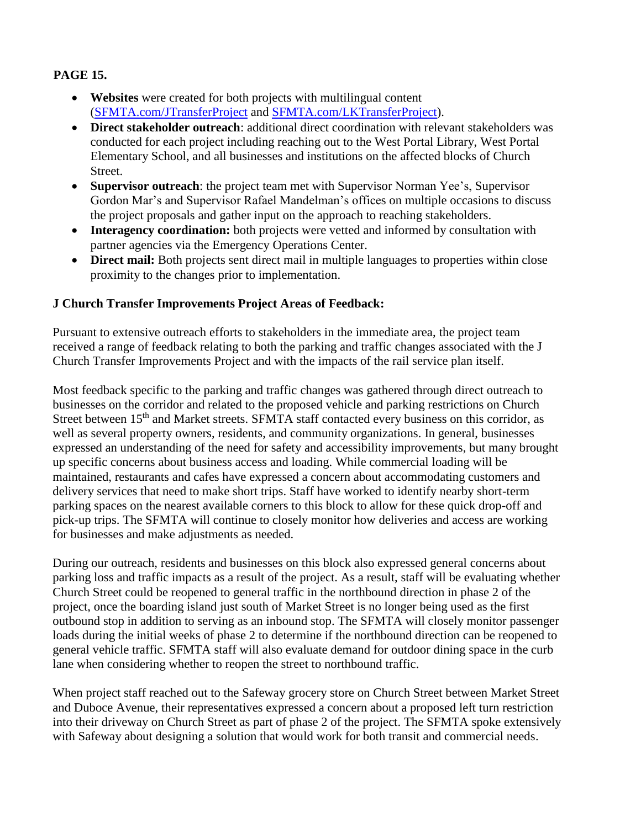# **PAGE 15.**

- **Websites** were created for both projects with multilingual content [\(SFMTA.com/JTransferProject](http://www.sfmta.com/JTransferProject) and [SFMTA.com/LKTransferProject\)](http://www.sfmta.com/LKTransferProject).
- **Direct stakeholder outreach**: additional direct coordination with relevant stakeholders was conducted for each project including reaching out to the West Portal Library, West Portal Elementary School, and all businesses and institutions on the affected blocks of Church Street.
- **Supervisor outreach**: the project team met with Supervisor Norman Yee's, Supervisor Gordon Mar's and Supervisor Rafael Mandelman's offices on multiple occasions to discuss the project proposals and gather input on the approach to reaching stakeholders.
- **Interagency coordination:** both projects were vetted and informed by consultation with partner agencies via the Emergency Operations Center.
- **Direct mail:** Both projects sent direct mail in multiple languages to properties within close proximity to the changes prior to implementation.

## **J Church Transfer Improvements Project Areas of Feedback:**

Pursuant to extensive outreach efforts to stakeholders in the immediate area, the project team received a range of feedback relating to both the parking and traffic changes associated with the J Church Transfer Improvements Project and with the impacts of the rail service plan itself.

Most feedback specific to the parking and traffic changes was gathered through direct outreach to businesses on the corridor and related to the proposed vehicle and parking restrictions on Church Street between 15<sup>th</sup> and Market streets. SFMTA staff contacted every business on this corridor, as well as several property owners, residents, and community organizations. In general, businesses expressed an understanding of the need for safety and accessibility improvements, but many brought up specific concerns about business access and loading. While commercial loading will be maintained, restaurants and cafes have expressed a concern about accommodating customers and delivery services that need to make short trips. Staff have worked to identify nearby short-term parking spaces on the nearest available corners to this block to allow for these quick drop-off and pick-up trips. The SFMTA will continue to closely monitor how deliveries and access are working for businesses and make adjustments as needed.

During our outreach, residents and businesses on this block also expressed general concerns about parking loss and traffic impacts as a result of the project. As a result, staff will be evaluating whether Church Street could be reopened to general traffic in the northbound direction in phase 2 of the project, once the boarding island just south of Market Street is no longer being used as the first outbound stop in addition to serving as an inbound stop. The SFMTA will closely monitor passenger loads during the initial weeks of phase 2 to determine if the northbound direction can be reopened to general vehicle traffic. SFMTA staff will also evaluate demand for outdoor dining space in the curb lane when considering whether to reopen the street to northbound traffic.

When project staff reached out to the Safeway grocery store on Church Street between Market Street and Duboce Avenue, their representatives expressed a concern about a proposed left turn restriction into their driveway on Church Street as part of phase 2 of the project. The SFMTA spoke extensively with Safeway about designing a solution that would work for both transit and commercial needs.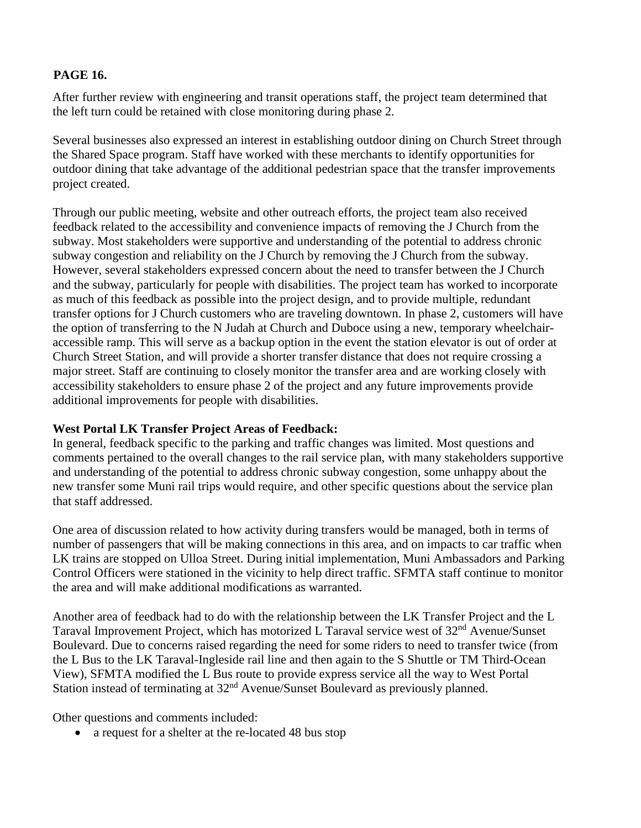## **PAGE 16.**

After further review with engineering and transit operations staff, the project team determined that the left turn could be retained with close monitoring during phase 2.

Several businesses also expressed an interest in establishing outdoor dining on Church Street through the Shared Space program. Staff have worked with these merchants to identify opportunities for outdoor dining that take advantage of the additional pedestrian space that the transfer improvements project created.

Through our public meeting, website and other outreach efforts, the project team also received feedback related to the accessibility and convenience impacts of removing the J Church from the subway. Most stakeholders were supportive and understanding of the potential to address chronic subway congestion and reliability on the J Church by removing the J Church from the subway. However, several stakeholders expressed concern about the need to transfer between the J Church and the subway, particularly for people with disabilities. The project team has worked to incorporate as much of this feedback as possible into the project design, and to provide multiple, redundant transfer options for J Church customers who are traveling downtown. In phase 2, customers will have the option of transferring to the N Judah at Church and Duboce using a new, temporary wheelchairaccessible ramp. This will serve as a backup option in the event the station elevator is out of order at Church Street Station, and will provide a shorter transfer distance that does not require crossing a major street. Staff are continuing to closely monitor the transfer area and are working closely with accessibility stakeholders to ensure phase 2 of the project and any future improvements provide additional improvements for people with disabilities.

## **West Portal LK Transfer Project Areas of Feedback:**

In general, feedback specific to the parking and traffic changes was limited. Most questions and comments pertained to the overall changes to the rail service plan, with many stakeholders supportive and understanding of the potential to address chronic subway congestion, some unhappy about the new transfer some Muni rail trips would require, and other specific questions about the service plan that staff addressed.

One area of discussion related to how activity during transfers would be managed, both in terms of number of passengers that will be making connections in this area, and on impacts to car traffic when LK trains are stopped on Ulloa Street. During initial implementation, Muni Ambassadors and Parking Control Officers were stationed in the vicinity to help direct traffic. SFMTA staff continue to monitor the area and will make additional modifications as warranted.

Another area of feedback had to do with the relationship between the LK Transfer Project and the L Taraval Improvement Project, which has motorized L Taraval service west of 32nd Avenue/Sunset Boulevard. Due to concerns raised regarding the need for some riders to need to transfer twice (from the L Bus to the LK Taraval-Ingleside rail line and then again to the S Shuttle or TM Third-Ocean View), SFMTA modified the L Bus route to provide express service all the way to West Portal Station instead of terminating at 32<sup>nd</sup> Avenue/Sunset Boulevard as previously planned.

Other questions and comments included:

• a request for a shelter at the re-located 48 bus stop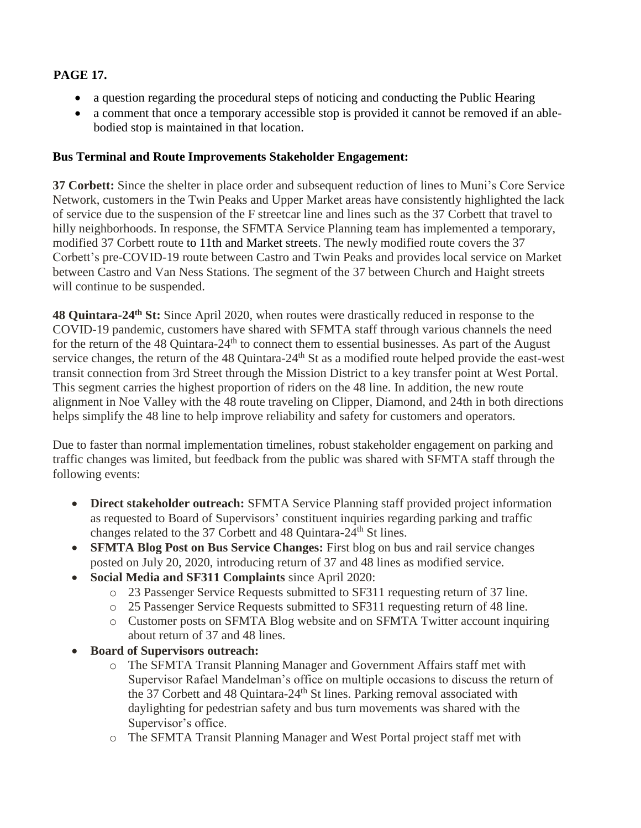# **PAGE 17.**

- a question regarding the procedural steps of noticing and conducting the Public Hearing
- a comment that once a temporary accessible stop is provided it cannot be removed if an ablebodied stop is maintained in that location.

## **Bus Terminal and Route Improvements Stakeholder Engagement:**

**37 Corbett:** Since the shelter in place order and subsequent reduction of lines to Muni's Core Service Network, customers in the Twin Peaks and Upper Market areas have consistently highlighted the lack of service due to the suspension of the F streetcar line and lines such as the 37 Corbett that travel to hilly neighborhoods. In response, the SFMTA Service Planning team has implemented a temporary, modified 37 Corbett route to 11th and Market streets. The newly modified route covers the 37 Corbett's pre-COVID-19 route between Castro and Twin Peaks and provides local service on Market between Castro and Van Ness Stations. The segment of the 37 between Church and Haight streets will continue to be suspended.

**48 Quintara-24th St:** Since April 2020, when routes were drastically reduced in response to the COVID-19 pandemic, customers have shared with SFMTA staff through various channels the need for the return of the 48 Quintara-24<sup>th</sup> to connect them to essential businesses. As part of the August service changes, the return of the 48 Quintara-24<sup>th</sup> St as a modified route helped provide the east-west transit connection from 3rd Street through the Mission District to a key transfer point at West Portal. This segment carries the highest proportion of riders on the 48 line. In addition, the new route alignment in Noe Valley with the 48 route traveling on Clipper, Diamond, and 24th in both directions helps simplify the 48 line to help improve reliability and safety for customers and operators.

Due to faster than normal implementation timelines, robust stakeholder engagement on parking and traffic changes was limited, but feedback from the public was shared with SFMTA staff through the following events:

- **Direct stakeholder outreach:** SFMTA Service Planning staff provided project information as requested to Board of Supervisors' constituent inquiries regarding parking and traffic changes related to the 37 Corbett and 48 Quintara-24th St lines.
- **SFMTA Blog Post on Bus Service Changes:** First blog on bus and rail service changes posted on July 20, 2020, introducing return of 37 and 48 lines as modified service.
- **Social Media and SF311 Complaints** since April 2020:
	- o 23 Passenger Service Requests submitted to SF311 requesting return of 37 line.
	- o 25 Passenger Service Requests submitted to SF311 requesting return of 48 line.
	- o Customer posts on SFMTA Blog website and on SFMTA Twitter account inquiring about return of 37 and 48 lines.
- **Board of Supervisors outreach:** 
	- o The SFMTA Transit Planning Manager and Government Affairs staff met with Supervisor Rafael Mandelman's office on multiple occasions to discuss the return of the 37 Corbett and 48 Quintara-24<sup>th</sup> St lines. Parking removal associated with daylighting for pedestrian safety and bus turn movements was shared with the Supervisor's office.
	- o The SFMTA Transit Planning Manager and West Portal project staff met with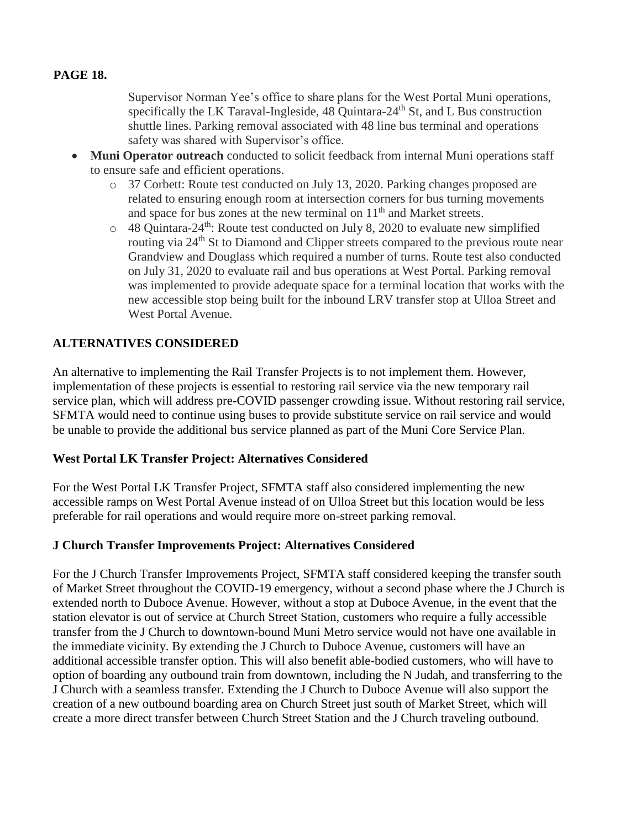## **PAGE 18.**

Supervisor Norman Yee's office to share plans for the West Portal Muni operations, specifically the LK Taraval-Ingleside,  $48$  Quintara- $24<sup>th</sup>$  St, and L Bus construction shuttle lines. Parking removal associated with 48 line bus terminal and operations safety was shared with Supervisor's office.

- **Muni Operator outreach** conducted to solicit feedback from internal Muni operations staff to ensure safe and efficient operations.
	- o 37 Corbett: Route test conducted on July 13, 2020. Parking changes proposed are related to ensuring enough room at intersection corners for bus turning movements and space for bus zones at the new terminal on  $11<sup>th</sup>$  and Market streets.
	- $\circ$  48 Quintara-24<sup>th</sup>: Route test conducted on July 8, 2020 to evaluate new simplified routing via 24th St to Diamond and Clipper streets compared to the previous route near Grandview and Douglass which required a number of turns. Route test also conducted on July 31, 2020 to evaluate rail and bus operations at West Portal. Parking removal was implemented to provide adequate space for a terminal location that works with the new accessible stop being built for the inbound LRV transfer stop at Ulloa Street and West Portal Avenue.

## **ALTERNATIVES CONSIDERED**

An alternative to implementing the Rail Transfer Projects is to not implement them. However, implementation of these projects is essential to restoring rail service via the new temporary rail service plan, which will address pre-COVID passenger crowding issue. Without restoring rail service, SFMTA would need to continue using buses to provide substitute service on rail service and would be unable to provide the additional bus service planned as part of the Muni Core Service Plan.

#### **West Portal LK Transfer Project: Alternatives Considered**

For the West Portal LK Transfer Project, SFMTA staff also considered implementing the new accessible ramps on West Portal Avenue instead of on Ulloa Street but this location would be less preferable for rail operations and would require more on-street parking removal.

#### **J Church Transfer Improvements Project: Alternatives Considered**

For the J Church Transfer Improvements Project, SFMTA staff considered keeping the transfer south of Market Street throughout the COVID-19 emergency, without a second phase where the J Church is extended north to Duboce Avenue. However, without a stop at Duboce Avenue, in the event that the station elevator is out of service at Church Street Station, customers who require a fully accessible transfer from the J Church to downtown-bound Muni Metro service would not have one available in the immediate vicinity. By extending the J Church to Duboce Avenue, customers will have an additional accessible transfer option. This will also benefit able-bodied customers, who will have to option of boarding any outbound train from downtown, including the N Judah, and transferring to the J Church with a seamless transfer. Extending the J Church to Duboce Avenue will also support the creation of a new outbound boarding area on Church Street just south of Market Street, which will create a more direct transfer between Church Street Station and the J Church traveling outbound.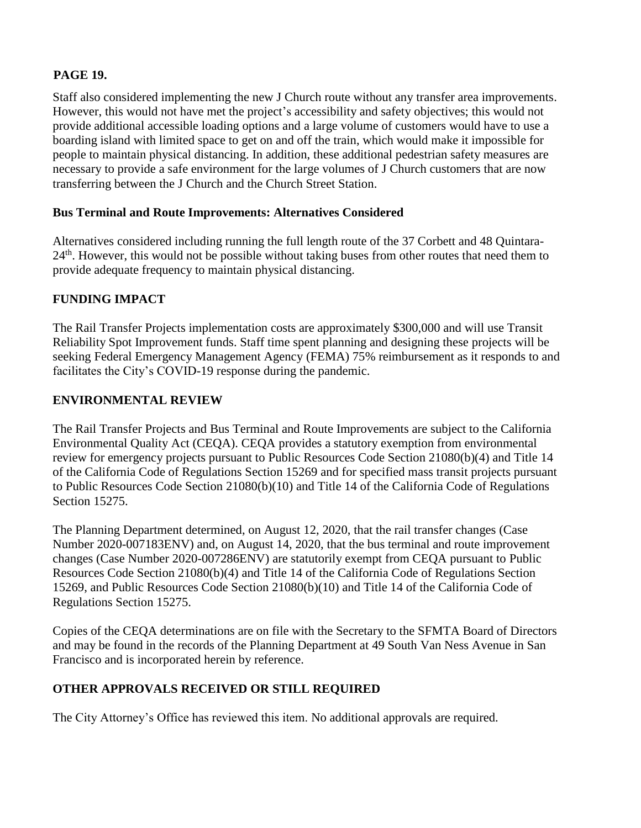## **PAGE 19.**

Staff also considered implementing the new J Church route without any transfer area improvements. However, this would not have met the project's accessibility and safety objectives; this would not provide additional accessible loading options and a large volume of customers would have to use a boarding island with limited space to get on and off the train, which would make it impossible for people to maintain physical distancing. In addition, these additional pedestrian safety measures are necessary to provide a safe environment for the large volumes of J Church customers that are now transferring between the J Church and the Church Street Station.

## **Bus Terminal and Route Improvements: Alternatives Considered**

Alternatives considered including running the full length route of the 37 Corbett and 48 Quintara- $24<sup>th</sup>$ . However, this would not be possible without taking buses from other routes that need them to provide adequate frequency to maintain physical distancing.

## **FUNDING IMPACT**

The Rail Transfer Projects implementation costs are approximately \$300,000 and will use Transit Reliability Spot Improvement funds. Staff time spent planning and designing these projects will be seeking Federal Emergency Management Agency (FEMA) 75% reimbursement as it responds to and facilitates the City's COVID-19 response during the pandemic.

## **ENVIRONMENTAL REVIEW**

The Rail Transfer Projects and Bus Terminal and Route Improvements are subject to the California Environmental Quality Act (CEQA). CEQA provides a statutory exemption from environmental review for emergency projects pursuant to Public Resources Code Section 21080(b)(4) and Title 14 of the California Code of Regulations Section 15269 and for specified mass transit projects pursuant to Public Resources Code Section 21080(b)(10) and Title 14 of the California Code of Regulations Section 15275.

The Planning Department determined, on August 12, 2020, that the rail transfer changes (Case Number 2020-007183ENV) and, on August 14, 2020, that the bus terminal and route improvement changes (Case Number 2020-007286ENV) are statutorily exempt from CEQA pursuant to Public Resources Code Section 21080(b)(4) and Title 14 of the California Code of Regulations Section 15269, and Public Resources Code Section 21080(b)(10) and Title 14 of the California Code of Regulations Section 15275.

Copies of the CEQA determinations are on file with the Secretary to the SFMTA Board of Directors and may be found in the records of the Planning Department at 49 South Van Ness Avenue in San Francisco and is incorporated herein by reference.

# **OTHER APPROVALS RECEIVED OR STILL REQUIRED**

The City Attorney's Office has reviewed this item. No additional approvals are required.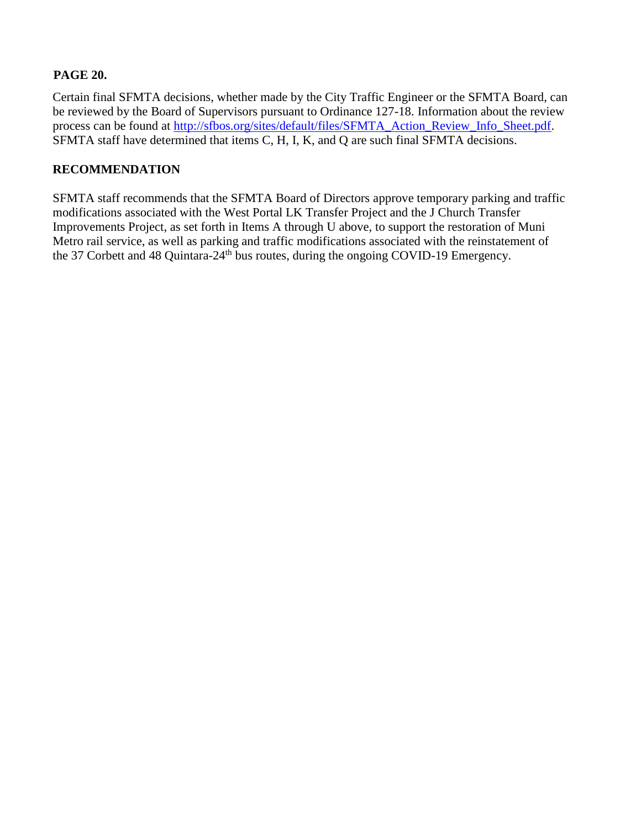## **PAGE 20.**

Certain final SFMTA decisions, whether made by the City Traffic Engineer or the SFMTA Board, can be reviewed by the Board of Supervisors pursuant to Ordinance 127-18. Information about the review process can be found at [http://sfbos.org/sites/default/files/SFMTA\\_Action\\_Review\\_Info\\_Sheet.pdf.](http://sfbos.org/sites/default/files/SFMTA_Action_Review_Info_Sheet.pdf) SFMTA staff have determined that items C, H, I, K, and Q are such final SFMTA decisions.

### **RECOMMENDATION**

SFMTA staff recommends that the SFMTA Board of Directors approve temporary parking and traffic modifications associated with the West Portal LK Transfer Project and the J Church Transfer Improvements Project, as set forth in Items A through U above, to support the restoration of Muni Metro rail service, as well as parking and traffic modifications associated with the reinstatement of the 37 Corbett and 48 Quintara-24th bus routes, during the ongoing COVID-19 Emergency.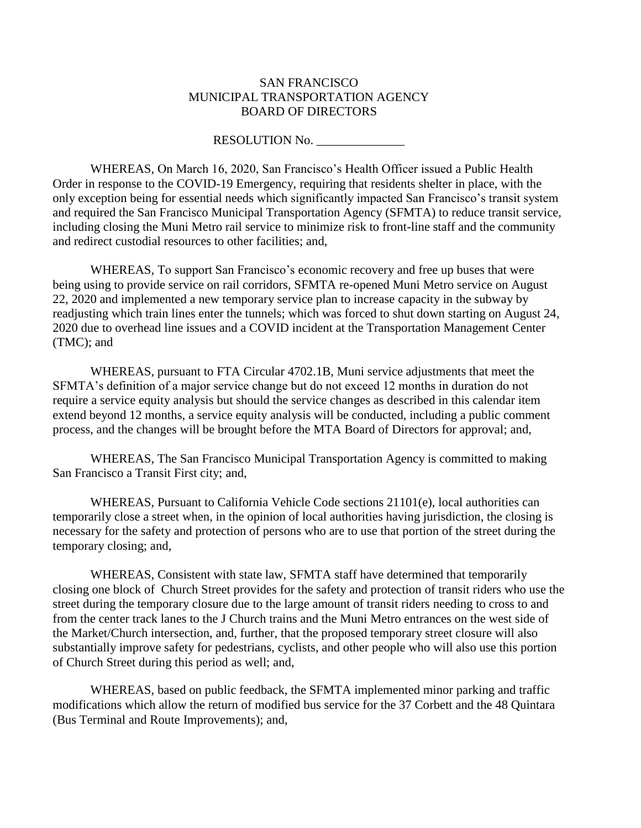#### SAN FRANCISCO MUNICIPAL TRANSPORTATION AGENCY BOARD OF DIRECTORS

#### RESOLUTION No.

WHEREAS, On March 16, 2020, San Francisco's Health Officer issued a Public Health Order in response to the COVID-19 Emergency, requiring that residents shelter in place, with the only exception being for essential needs which significantly impacted San Francisco's transit system and required the San Francisco Municipal Transportation Agency (SFMTA) to reduce transit service, including closing the Muni Metro rail service to minimize risk to front-line staff and the community and redirect custodial resources to other facilities; and,

WHEREAS, To support San Francisco's economic recovery and free up buses that were being using to provide service on rail corridors, SFMTA re-opened Muni Metro service on August 22, 2020 and implemented a new temporary service plan to increase capacity in the subway by readjusting which train lines enter the tunnels; which was forced to shut down starting on August 24, 2020 due to overhead line issues and a COVID incident at the Transportation Management Center (TMC); and

WHEREAS, pursuant to FTA Circular 4702.1B, Muni service adjustments that meet the SFMTA's definition of a major service change but do not exceed 12 months in duration do not require a service equity analysis but should the service changes as described in this calendar item extend beyond 12 months, a service equity analysis will be conducted, including a public comment process, and the changes will be brought before the MTA Board of Directors for approval; and,

WHEREAS, The San Francisco Municipal Transportation Agency is committed to making San Francisco a Transit First city; and,

WHEREAS, Pursuant to California Vehicle Code sections 21101(e), local authorities can temporarily close a street when, in the opinion of local authorities having jurisdiction, the closing is necessary for the safety and protection of persons who are to use that portion of the street during the temporary closing; and,

WHEREAS, Consistent with state law, SFMTA staff have determined that temporarily closing one block of Church Street provides for the safety and protection of transit riders who use the street during the temporary closure due to the large amount of transit riders needing to cross to and from the center track lanes to the J Church trains and the Muni Metro entrances on the west side of the Market/Church intersection, and, further, that the proposed temporary street closure will also substantially improve safety for pedestrians, cyclists, and other people who will also use this portion of Church Street during this period as well; and,

WHEREAS, based on public feedback, the SFMTA implemented minor parking and traffic modifications which allow the return of modified bus service for the 37 Corbett and the 48 Quintara (Bus Terminal and Route Improvements); and,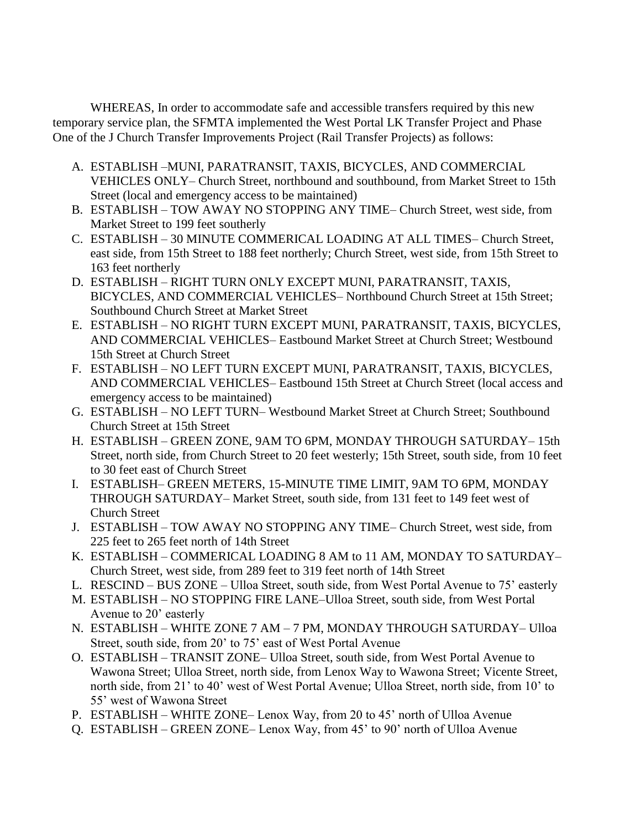WHEREAS, In order to accommodate safe and accessible transfers required by this new temporary service plan, the SFMTA implemented the West Portal LK Transfer Project and Phase One of the J Church Transfer Improvements Project (Rail Transfer Projects) as follows:

- A. ESTABLISH –MUNI, PARATRANSIT, TAXIS, BICYCLES, AND COMMERCIAL VEHICLES ONLY– Church Street, northbound and southbound, from Market Street to 15th Street (local and emergency access to be maintained)
- B. ESTABLISH TOW AWAY NO STOPPING ANY TIME– Church Street, west side, from Market Street to 199 feet southerly
- C. ESTABLISH 30 MINUTE COMMERICAL LOADING AT ALL TIMES– Church Street, east side, from 15th Street to 188 feet northerly; Church Street, west side, from 15th Street to 163 feet northerly
- D. ESTABLISH RIGHT TURN ONLY EXCEPT MUNI, PARATRANSIT, TAXIS, BICYCLES, AND COMMERCIAL VEHICLES– Northbound Church Street at 15th Street; Southbound Church Street at Market Street
- E. ESTABLISH NO RIGHT TURN EXCEPT MUNI, PARATRANSIT, TAXIS, BICYCLES, AND COMMERCIAL VEHICLES– Eastbound Market Street at Church Street; Westbound 15th Street at Church Street
- F. ESTABLISH NO LEFT TURN EXCEPT MUNI, PARATRANSIT, TAXIS, BICYCLES, AND COMMERCIAL VEHICLES– Eastbound 15th Street at Church Street (local access and emergency access to be maintained)
- G. ESTABLISH NO LEFT TURN– Westbound Market Street at Church Street; Southbound Church Street at 15th Street
- H. ESTABLISH GREEN ZONE, 9AM TO 6PM, MONDAY THROUGH SATURDAY– 15th Street, north side, from Church Street to 20 feet westerly; 15th Street, south side, from 10 feet to 30 feet east of Church Street
- I. ESTABLISH– GREEN METERS, 15-MINUTE TIME LIMIT, 9AM TO 6PM, MONDAY THROUGH SATURDAY– Market Street, south side, from 131 feet to 149 feet west of Church Street
- J. ESTABLISH TOW AWAY NO STOPPING ANY TIME– Church Street, west side, from 225 feet to 265 feet north of 14th Street
- K. ESTABLISH COMMERICAL LOADING 8 AM to 11 AM, MONDAY TO SATURDAY– Church Street, west side, from 289 feet to 319 feet north of 14th Street
- L. RESCIND BUS ZONE Ulloa Street, south side, from West Portal Avenue to 75' easterly
- M. ESTABLISH NO STOPPING FIRE LANE–Ulloa Street, south side, from West Portal Avenue to 20' easterly
- N. ESTABLISH WHITE ZONE 7 AM 7 PM, MONDAY THROUGH SATURDAY– Ulloa Street, south side, from 20' to 75' east of West Portal Avenue
- O. ESTABLISH TRANSIT ZONE– Ulloa Street, south side, from West Portal Avenue to Wawona Street; Ulloa Street, north side, from Lenox Way to Wawona Street; Vicente Street, north side, from 21' to 40' west of West Portal Avenue; Ulloa Street, north side, from 10' to 55' west of Wawona Street
- P. ESTABLISH WHITE ZONE– Lenox Way, from 20 to 45' north of Ulloa Avenue
- Q. ESTABLISH GREEN ZONE– Lenox Way, from 45' to 90' north of Ulloa Avenue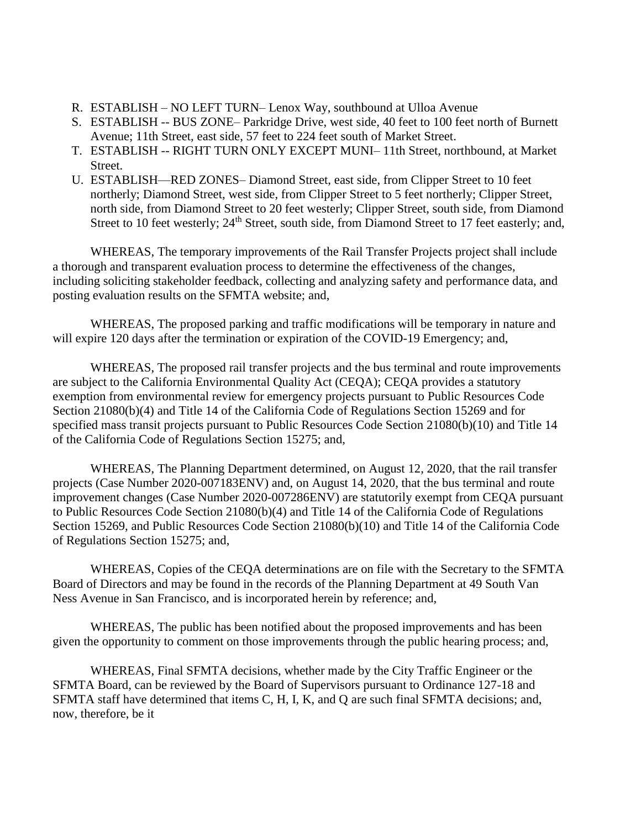- R. ESTABLISH NO LEFT TURN– Lenox Way, southbound at Ulloa Avenue
- S. ESTABLISH -- BUS ZONE– Parkridge Drive, west side, 40 feet to 100 feet north of Burnett Avenue; 11th Street, east side, 57 feet to 224 feet south of Market Street.
- T. ESTABLISH -- RIGHT TURN ONLY EXCEPT MUNI– 11th Street, northbound, at Market Street.
- U. ESTABLISH—RED ZONES– Diamond Street, east side, from Clipper Street to 10 feet northerly; Diamond Street, west side, from Clipper Street to 5 feet northerly; Clipper Street, north side, from Diamond Street to 20 feet westerly; Clipper Street, south side, from Diamond Street to 10 feet westerly; 24<sup>th</sup> Street, south side, from Diamond Street to 17 feet easterly; and,

WHEREAS, The temporary improvements of the Rail Transfer Projects project shall include a thorough and transparent evaluation process to determine the effectiveness of the changes, including soliciting stakeholder feedback, collecting and analyzing safety and performance data, and posting evaluation results on the SFMTA website; and,

WHEREAS, The proposed parking and traffic modifications will be temporary in nature and will expire 120 days after the termination or expiration of the COVID-19 Emergency; and,

WHEREAS, The proposed rail transfer projects and the bus terminal and route improvements are subject to the California Environmental Quality Act (CEQA); CEQA provides a statutory exemption from environmental review for emergency projects pursuant to Public Resources Code Section 21080(b)(4) and Title 14 of the California Code of Regulations Section 15269 and for specified mass transit projects pursuant to Public Resources Code Section 21080(b)(10) and Title 14 of the California Code of Regulations Section 15275; and,

WHEREAS, The Planning Department determined, on August 12, 2020, that the rail transfer projects (Case Number 2020-007183ENV) and, on August 14, 2020, that the bus terminal and route improvement changes (Case Number 2020-007286ENV) are statutorily exempt from CEQA pursuant to Public Resources Code Section 21080(b)(4) and Title 14 of the California Code of Regulations Section 15269, and Public Resources Code Section 21080(b)(10) and Title 14 of the California Code of Regulations Section 15275; and,

WHEREAS, Copies of the CEQA determinations are on file with the Secretary to the SFMTA Board of Directors and may be found in the records of the Planning Department at 49 South Van Ness Avenue in San Francisco, and is incorporated herein by reference; and,

WHEREAS, The public has been notified about the proposed improvements and has been given the opportunity to comment on those improvements through the public hearing process; and,

WHEREAS, Final SFMTA decisions, whether made by the City Traffic Engineer or the SFMTA Board, can be reviewed by the Board of Supervisors pursuant to Ordinance 127-18 and SFMTA staff have determined that items C, H, I, K, and Q are such final SFMTA decisions; and, now, therefore, be it